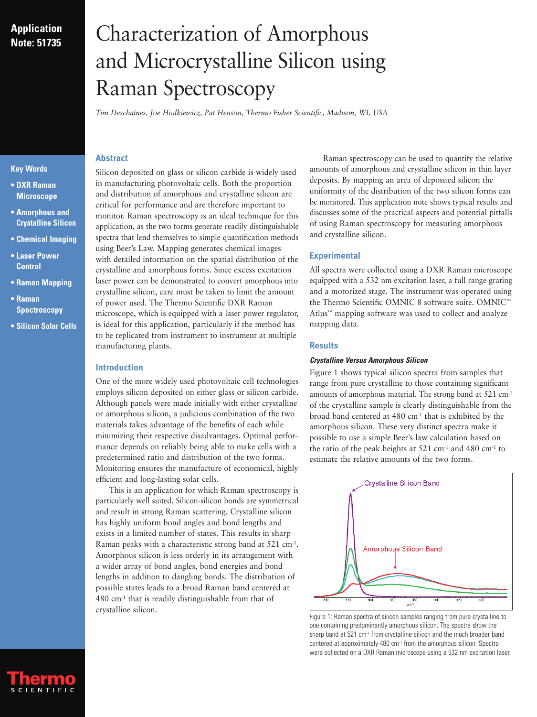## **Application Note: 51735**

# Characterization of Amorphous and Microcrystalline Silicon using Raman Spectroscopy

*Tim Deschaines, Joe Hodkiewicz, Pat Henson, Thermo Fisher Scientific, Madison, WI, USA*

## **Key Words**

- **DXR Raman Microscope**
- **Amorphous and Crystalline Silicon**
- **Chemical Imaging**
- **Laser Power Control**
- **Raman Mapping**
- **Raman Spectroscopy**
- **Silicon Solar Cells**

Silicon deposited on glass or silicon carbide is widely used in manufacturing photovoltaic cells. Both the proportion and distribution of amorphous and crystalline silicon are critical for performance and are therefore important to monitor. Raman spectroscopy is an ideal technique for this application, as the two forms generate readily distinguishable spectra that lend themselves to simple quantification methods using Beer's Law. Mapping generates chemical images with detailed information on the spatial distribution of the crystalline and amorphous forms. Since excess excitation laser power can be demonstrated to convert amorphous into crystalline silicon, care must be taken to limit the amount of power used. The Thermo Scientific DXR Raman microscope, which is equipped with a laser power regulator, is ideal for this application, particularly if the method has to be replicated from instrument to instrument at multiple manufacturing plants.

## **Introduction**

**Abstract**

One of the more widely used photovoltaic cell technologies employs silicon deposited on either glass or silicon carbide. Although panels were made initially with either crystalline or amorphous silicon, a judicious combination of the two materials takes advantage of the benefits of each while minimizing their respective disadvantages. Optimal performance depends on reliably being able to make cells with a predetermined ratio and distribution of the two forms. Monitoring ensures the manufacture of economical, highly efficient and long-lasting solar cells.

This is an application for which Raman spectroscopy is particularly well suited. Silicon-silicon bonds are symmetrical and result in strong Raman scattering. Crystalline silicon has highly uniform bond angles and bond lengths and exists in a limited number of states. This results in sharp Raman peaks with a characteristic strong band at 521 cm<sup>-1</sup>. Amorphous silicon is less orderly in its arrangement with a wider array of bond angles, bond energies and bond lengths in addition to dangling bonds. The distribution of possible states leads to a broad Raman band centered at  $480$  cm<sup>-1</sup> that is readily distinguishable from that of crystalline silicon.

Raman spectroscopy can be used to quantify the relative amounts of amorphous and crystalline silicon in thin layer deposits. By mapping an area of deposited silicon the uniformity of the distribution of the two silicon forms can be monitored. This application note shows typical results and discusses some of the practical aspects and potential pitfalls of using Raman spectroscopy for measuring amorphous and crystalline silicon.

## **Experimental**

All spectra were collected using a DXR Raman microscope equipped with a 532 nm excitation laser, a full range grating and a motorized stage. The instrument was operated using the Thermo Scientific OMNIC 8 software suite. OMNIC™ Atlµs™ mapping software was used to collect and analyze mapping data.

## **Results**

## **Crystalline Versus Amorphous Silicon**

Figure 1 shows typical silicon spectra from samples that range from pure crystalline to those containing significant amounts of amorphous material. The strong band at 521 cm-1 of the crystalline sample is clearly distinguishable from the broad band centered at 480 cm-1 that is exhibited by the amorphous silicon. These very distinct spectra make it possible to use a simple Beer's law calculation based on the ratio of the peak heights at  $521 \text{ cm}^{-1}$  and  $480 \text{ cm}^{-1}$  to estimate the relative amounts of the two forms.



Figure 1: Raman spectra of silicon samples ranging from pure crystalline to one containing predominantly amorphous silicon. The spectra show the sharp band at 521 cm<sup>-1</sup> from crystalline silicon and the much broader band centered at approximately 480 cm<sup>-1</sup> from the amorphous silicon. Spectra were collected on a DXR Raman microscope using a 532 nm excitation laser.

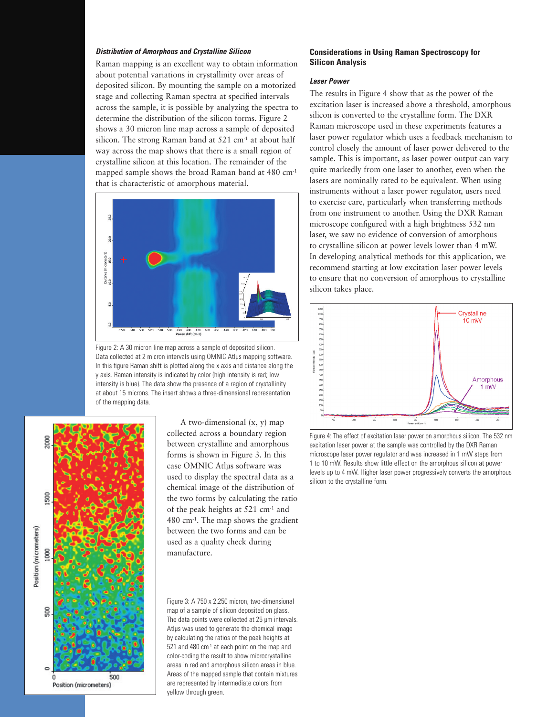#### **Distribution of Amorphous and Crystalline Silicon**

Raman mapping is an excellent way to obtain information about potential variations in crystallinity over areas of deposited silicon. By mounting the sample on a motorized stage and collecting Raman spectra at specified intervals across the sample, it is possible by analyzing the spectra to determine the distribution of the silicon forms. Figure 2 shows a 30 micron line map across a sample of deposited silicon. The strong Raman band at 521 cm<sup>-1</sup> at about half way across the map shows that there is a small region of crystalline silicon at this location. The remainder of the mapped sample shows the broad Raman band at 480 cm-1 that is characteristic of amorphous material.



Figure 2: A 30 micron line map across a sample of deposited silicon. Data collected at 2 micron intervals using OMNIC Atlus mapping software. In this figure Raman shift is plotted along the x axis and distance along the y axis. Raman intensity is indicated by color (high intensity is red; low intensity is blue). The data show the presence of a region of crystallinity at about 15 microns. The insert shows a three-dimensional representation of the mapping data.



A two-dimensional (x, y) map collected across a boundary region between crystalline and amorphous forms is shown in Figure 3. In this case OMNIC Atlµs software was used to display the spectral data as a chemical image of the distribution of the two forms by calculating the ratio of the peak heights at 521 cm-1 and 480 cm-1. The map shows the gradient between the two forms and can be used as a quality check during manufacture.

Figure 3: A 750 x 2,250 micron, two-dimensional map of a sample of silicon deposited on glass. The data points were collected at 25 µm intervals. Atlµs was used to generate the chemical image by calculating the ratios of the peak heights at 521 and 480 cm<sup>-1</sup> at each point on the map and color-coding the result to show microcrystalline areas in red and amorphous silicon areas in blue. Areas of the mapped sample that contain mixtures are represented by intermediate colors from yellow through green.

#### **Considerations in Using Raman Spectroscopy for Silicon Analysis**

## **Laser Power**

The results in Figure 4 show that as the power of the excitation laser is increased above a threshold, amorphous silicon is converted to the crystalline form. The DXR Raman microscope used in these experiments features a laser power regulator which uses a feedback mechanism to control closely the amount of laser power delivered to the sample. This is important, as laser power output can vary quite markedly from one laser to another, even when the lasers are nominally rated to be equivalent. When using instruments without a laser power regulator, users need to exercise care, particularly when transferring methods from one instrument to another. Using the DXR Raman microscope configured with a high brightness 532 nm laser, we saw no evidence of conversion of amorphous to crystalline silicon at power levels lower than 4 mW. In developing analytical methods for this application, we recommend starting at low excitation laser power levels to ensure that no conversion of amorphous to crystalline silicon takes place.



Figure 4: The effect of excitation laser power on amorphous silicon. The 532 nm excitation laser power at the sample was controlled by the DXR Raman microscope laser power regulator and was increased in 1 mW steps from 1 to 10 mW. Results show little effect on the amorphous silicon at power levels up to 4 mW. Higher laser power progressively converts the amorphous silicon to the crystalline form.